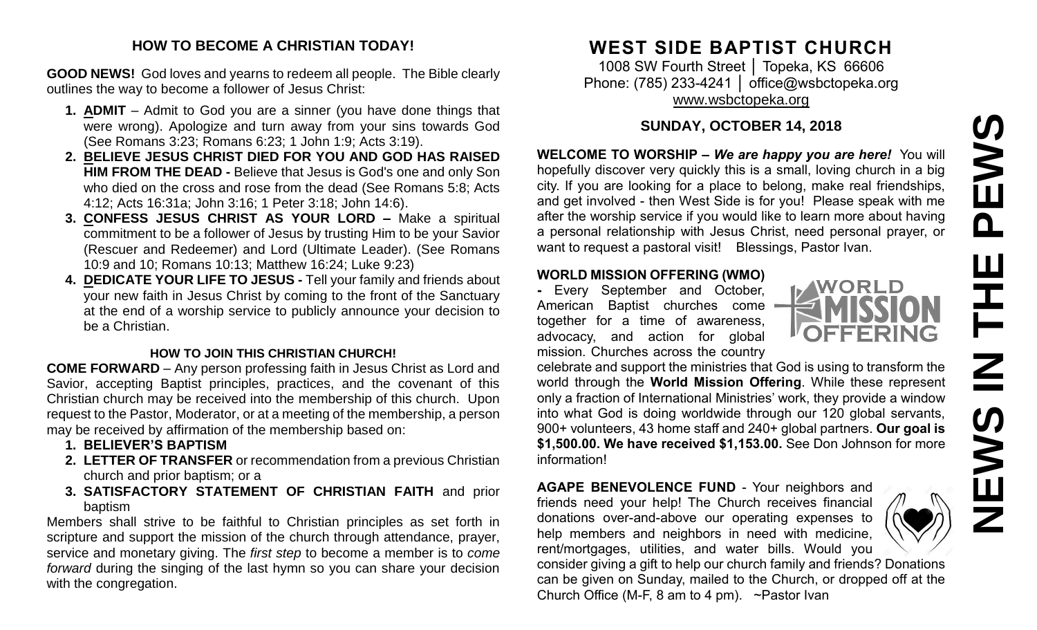# PEWS **NEWS IN THE PEWS**논  $\overline{\mathbf{z}}$  $rac{3}{2}$  $\mathbf{u}$ Z

#### **HOW TO BECOME A CHRISTIAN TODAY!**

**GOOD NEWS!** God loves and yearns to redeem all people. The Bible clearly outlines the way to become a follower of Jesus Christ:

- **1. ADMIT** Admit to God you are a sinner (you have done things that were wrong). Apologize and turn away from your sins towards God (See Romans 3:23; Romans 6:23; 1 John 1:9; Acts 3:19).
- **2. BELIEVE JESUS CHRIST DIED FOR YOU AND GOD HAS RAISED HIM FROM THE DEAD -** Believe that Jesus is God's one and only Son who died on the cross and rose from the dead (See Romans 5:8; Acts 4:12; Acts 16:31a; John 3:16; 1 Peter 3:18; John 14:6).
- **3. CONFESS JESUS CHRIST AS YOUR LORD –** Make a spiritual commitment to be a follower of Jesus by trusting Him to be your Savior (Rescuer and Redeemer) and Lord (Ultimate Leader). (See Romans 10:9 and 10; Romans 10:13; Matthew 16:24; Luke 9:23)
- **4. DEDICATE YOUR LIFE TO JESUS -** Tell your family and friends about your new faith in Jesus Christ by coming to the front of the Sanctuary at the end of a worship service to publicly announce your decision to be a Christian.

#### **HOW TO JOIN THIS CHRISTIAN CHURCH!**

**COME FORWARD** – Any person professing faith in Jesus Christ as Lord and Savior, accepting Baptist principles, practices, and the covenant of this Christian church may be received into the membership of this church. Upon request to the Pastor, Moderator, or at a meeting of the membership, a person may be received by affirmation of the membership based on:

- **1. BELIEVER'S BAPTISM**
- **2. LETTER OF TRANSFER** or recommendation from a previous Christian church and prior baptism; or a
- **3. SATISFACTORY STATEMENT OF CHRISTIAN FAITH** and prior baptism

Members shall strive to be faithful to Christian principles as set forth in scripture and support the mission of the church through attendance, prayer, service and monetary giving. The *first step* to become a member is to *come forward* during the singing of the last hymn so you can share your decision with the congregation.

### **WEST SIDE BAPTIST CHURCH**

1008 SW Fourth Street │ Topeka, KS 66606 Phone: (785) 233-4241 | [office@wsbctopeka.org](mailto:office@wsbctopeka.org) [www.wsbctopeka.org](http://www.wsbctopeka.org/)

#### **SUNDAY, OCTOBER 14, 2018**

**WELCOME TO WORSHIP –** *We are happy you are here!* You will hopefully discover very quickly this is a small, loving church in a big city. If you are looking for a place to belong, make real friendships, and get involved - then West Side is for you! Please speak with me after the worship service if you would like to learn more about having a personal relationship with Jesus Christ, need personal prayer, or want to request a pastoral visit! Blessings, Pastor Ivan.

#### **WORLD MISSION OFFERING (WMO)**

**-** Every September and October, American Baptist churches come together for a time of awareness, advocacy, and action for global mission. Churches across the country

celebrate and support the ministries that God is using to transform the world through the **World Mission Offering**. While these represent only a fraction of International Ministries' work, they provide a window into what God is doing worldwide through our 120 global servants, 900+ volunteers, 43 home staff and 240+ global partners. **Our goal is \$1,500.00. We have received \$1,153.00.** See Don Johnson for more information!

**AGAPE BENEVOLENCE FUND** - Your neighbors and friends need your help! The Church receives financial donations over-and-above our operating expenses to help members and neighbors in need with medicine, rent/mortgages, utilities, and water bills. Would you

consider giving a gift to help our church family and friends? Donations can be given on Sunday, mailed to the Church, or dropped off at the Church Office (M-F, 8 am to 4 pm). ~Pastor Ivan

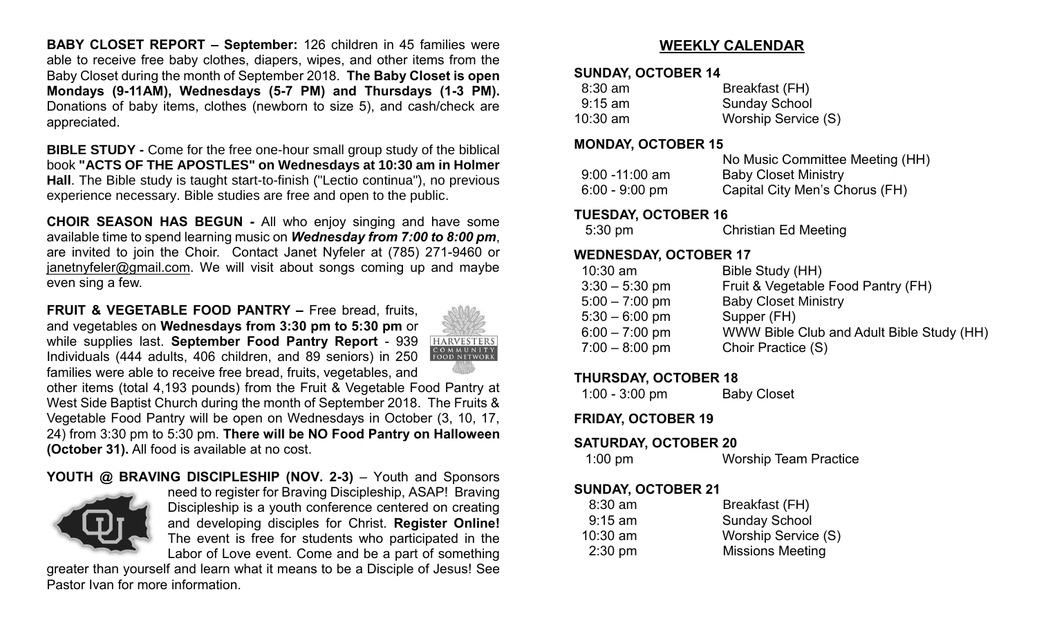**BABY CLOSET REPORT – September:** 126 children in 45 families were able to receive free baby clothes, diapers, wipes, and other items from the Baby Closet during the month of September 2018. **The Baby Closet is open Mondays (9-11AM), Wednesdays (5-7 PM) and Thursdays (1-3 PM).**  Donations of baby items, clothes (newborn to size 5), and cash/check are appreciated.

**BIBLE STUDY -** Come for the free one-hour small group study of the biblical book **"ACTS OF THE APOSTLES" on Wednesdays at 10:30 am in Holmer Hall**. The Bible study is taught start-to-finish ("Lectio continua"), no previous experience necessary. Bible studies are free and open to the public.

**CHOIR SEASON HAS BEGUN -** All who enjoy singing and have some available time to spend learning music on *Wednesday from 7:00 to 8:00 pm*, are invited to join the Choir. Contact Janet Nyfeler at (785) 271-9460 or [janetnyfeler@gmail.com.](mailto:janetnyfeler@gmail.com) We will visit about songs coming up and maybe even sing a few.

**FRUIT & VEGETABLE FOOD PANTRY –** Free bread, fruits, and vegetables on **Wednesdays from 3:30 pm to 5:30 pm** or while supplies last. **September Food Pantry Report** - 939 Individuals (444 adults, 406 children, and 89 seniors) in 250 families were able to receive free bread, fruits, vegetables, and



other items (total 4,193 pounds) from the Fruit & Vegetable Food Pantry at West Side Baptist Church during the month of September 2018. The Fruits & Vegetable Food Pantry will be open on Wednesdays in October (3, 10, 17, 24) from 3:30 pm to 5:30 pm. **There will be NO Food Pantry on Halloween (October 31).** All food is available at no cost.

#### **YOUTH @ BRAVING DISCIPLESHIP (NOV. 2-3)** – Youth and Sponsors



need to register for Braving Discipleship, ASAP! Braving Discipleship is a youth conference centered on creating and developing disciples for Christ. **Register Online!** The event is free for students who participated in the Labor of Love event. Come and be a part of something

greater than yourself and learn what it means to be a Disciple of Jesus! See Pastor Ivan for more information.

#### **WEEKLY CALENDAR**

#### **SUNDAY, OCTOBER 14**

| $8:30$ am  | Breakfast (FH)       |
|------------|----------------------|
| $9:15$ am  | <b>Sunday School</b> |
| $10:30$ am | Worship Service (S)  |

#### **MONDAY, OCTOBER 15**

|                   | No Music Committee Meeting (HH) |
|-------------------|---------------------------------|
| $9:00 - 11:00$ am | <b>Baby Closet Ministry</b>     |
| $6:00 - 9:00$ pm  | Capital City Men's Chorus (FH)  |

#### **TUESDAY, OCTOBER 16**

| 5:30 pm | <b>Christian Ed Meeting</b> |
|---------|-----------------------------|
|---------|-----------------------------|

#### **WEDNESDAY, OCTOBER 17**

| $10:30$ am       | Bible Study (HH)                          |
|------------------|-------------------------------------------|
| $3:30 - 5:30$ pm | Fruit & Vegetable Food Pantry (FH)        |
| $5:00 - 7:00$ pm | <b>Baby Closet Ministry</b>               |
| $5:30 - 6:00$ pm | Supper (FH)                               |
| $6:00 - 7:00$ pm | WWW Bible Club and Adult Bible Study (HH) |
| $7:00 - 8:00$ pm | Choir Practice (S)                        |
|                  |                                           |

#### **THURSDAY, OCTOBER 18**

1:00 - 3:00 pm Baby Closet

#### **FRIDAY, OCTOBER 19**

#### **SATURDAY, OCTOBER 20**

1:00 pm Worship Team Practice

#### **SUNDAY, OCTOBER 21**

| $8:30$ am         | Breakfast (FH)          |
|-------------------|-------------------------|
| $9:15 \text{ am}$ | <b>Sunday School</b>    |
| $10:30$ am        | Worship Service (S)     |
| $2:30$ pm         | <b>Missions Meeting</b> |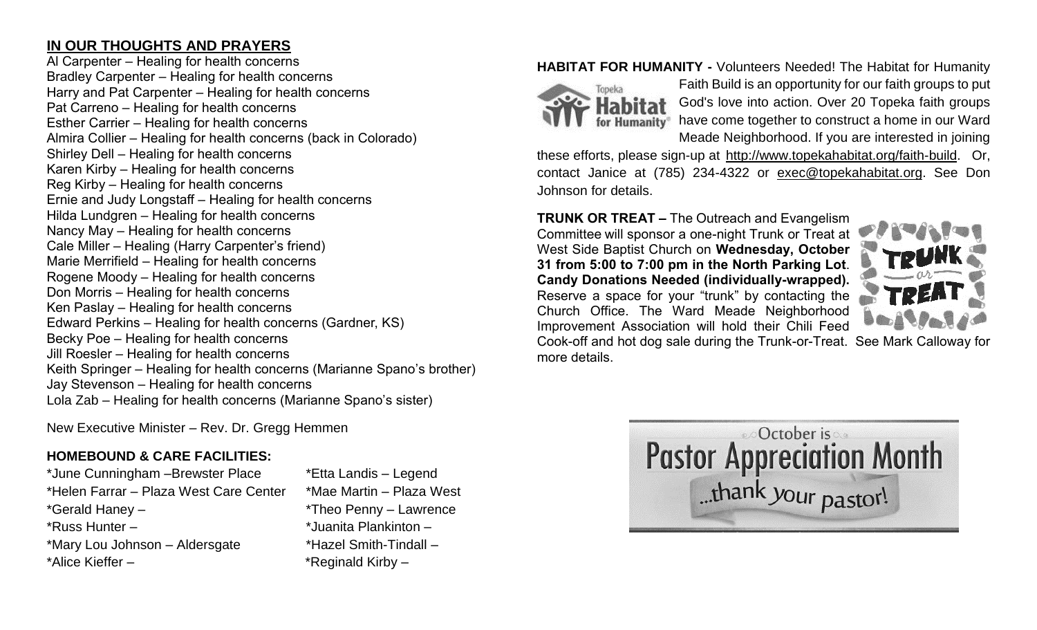#### **IN OUR THOUGHTS AND PRAYERS**

Al Carpenter – Healing for health concerns Bradley Carpenter – Healing for health concerns Harry and Pat Carpenter – Healing for health concerns Pat Carreno – Healing for health concerns Esther Carrier – Healing for health concerns Almira Collier – Healing for health concerns (back in Colorado) Shirley Dell – Healing for health concerns Karen Kirby – Healing for health concerns Reg Kirby – Healing for health concerns Ernie and Judy Longstaff – Healing for health concerns Hilda Lundgren – Healing for health concerns Nancy May – Healing for health concerns Cale Miller – Healing (Harry Carpenter's friend) Marie Merrifield – Healing for health concerns Rogene Moody – Healing for health concerns Don Morris – Healing for health concerns Ken Paslay – Healing for health concerns Edward Perkins – Healing for health concerns (Gardner, KS) Becky Poe – Healing for health concerns Jill Roesler – Healing for health concerns Keith Springer – Healing for health concerns (Marianne Spano's brother) Jay Stevenson – Healing for health concerns Lola Zab – Healing for health concerns (Marianne Spano's sister)

New Executive Minister – Rev. Dr. Gregg Hemmen

#### **HOMEBOUND & CARE FACILITIES:**

\*June Cunningham –Brewster Place \*Etta Landis – Legend \*Helen Farrar – Plaza West Care Center \*Mae Martin – Plaza West \*Gerald Haney – \*Theo Penny – Lawrence \*Russ Hunter – \*Juanita Plankinton – \*Mary Lou Johnson – Aldersgate \*Hazel Smith-Tindall – \*Alice Kieffer – \* \*Reginald Kirby –

#### **HABITAT FOR HUMANITY -** Volunteers Needed! The Habitat for Humanity



Faith Build is an opportunity for our faith groups to put God's love into action. Over 20 Topeka faith groups have come together to construct a home in our Ward Meade Neighborhood. If you are interested in joining

these efforts, please sign-up at [http://www.topekahabitat.org/faith-build.](http://www.topekahabitat.org/faith-build) Or, contact Janice at (785) 234-4322 or [exec@topekahabitat.org.](mailto:exec@topekahabitat.org) See Don Johnson for details.

#### **TRUNK OR TREAT –** The Outreach and Evangelism Committee will sponsor a one-night Trunk or Treat at

West Side Baptist Church on **Wednesday, October 31 from 5:00 to 7:00 pm in the North Parking Lot**. **Candy Donations Needed (individually-wrapped).** Reserve a space for your "trunk" by contacting the Church Office. The Ward Meade Neighborhood Improvement Association will hold their Chili Feed



Cook-off and hot dog sale during the Trunk-or-Treat. See Mark Calloway for more details.